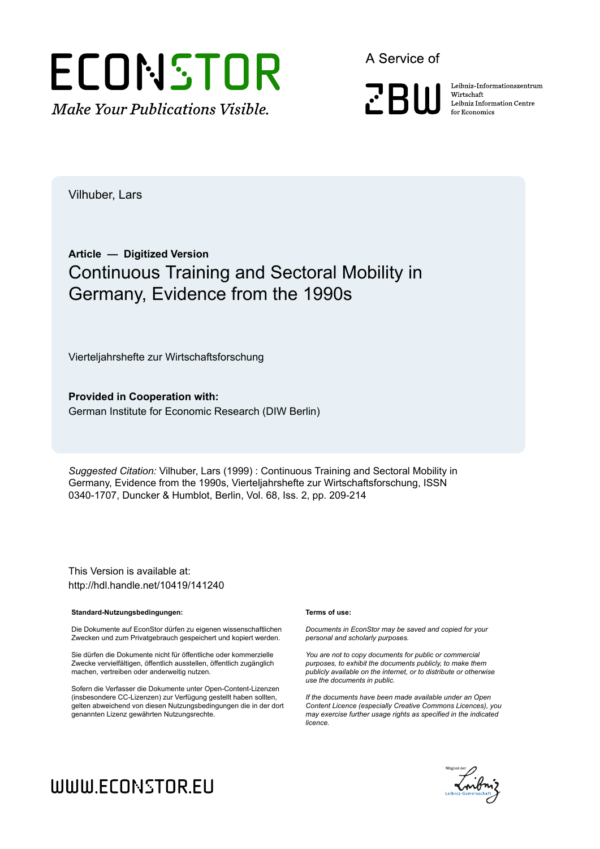

A Service of

**PRIII** 

Leibniz Informationszentrum Wirtschaft Leibniz Information Centre for Economics

Vilhuber, Lars

# **Article — Digitized Version** Continuous Training and Sectoral Mobility in Germany, Evidence from the 1990s

Vierteljahrshefte zur Wirtschaftsforschung

**Provided in Cooperation with:** German Institute for Economic Research (DIW Berlin)

*Suggested Citation:* Vilhuber, Lars (1999) : Continuous Training and Sectoral Mobility in Germany, Evidence from the 1990s, Vierteljahrshefte zur Wirtschaftsforschung, ISSN 0340-1707, Duncker & Humblot, Berlin, Vol. 68, Iss. 2, pp. 209-214

This Version is available at: http://hdl.handle.net/10419/141240

#### **Standard-Nutzungsbedingungen:**

Die Dokumente auf EconStor dürfen zu eigenen wissenschaftlichen Zwecken und zum Privatgebrauch gespeichert und kopiert werden.

Sie dürfen die Dokumente nicht für öffentliche oder kommerzielle Zwecke vervielfältigen, öffentlich ausstellen, öffentlich zugänglich machen, vertreiben oder anderweitig nutzen.

Sofern die Verfasser die Dokumente unter Open-Content-Lizenzen (insbesondere CC-Lizenzen) zur Verfügung gestellt haben sollten, gelten abweichend von diesen Nutzungsbedingungen die in der dort genannten Lizenz gewährten Nutzungsrechte.

#### **Terms of use:**

*Documents in EconStor may be saved and copied for your personal and scholarly purposes.*

*You are not to copy documents for public or commercial purposes, to exhibit the documents publicly, to make them publicly available on the internet, or to distribute or otherwise use the documents in public.*

*If the documents have been made available under an Open Content Licence (especially Creative Commons Licences), you may exercise further usage rights as specified in the indicated licence.*



# WWW.ECONSTOR.EU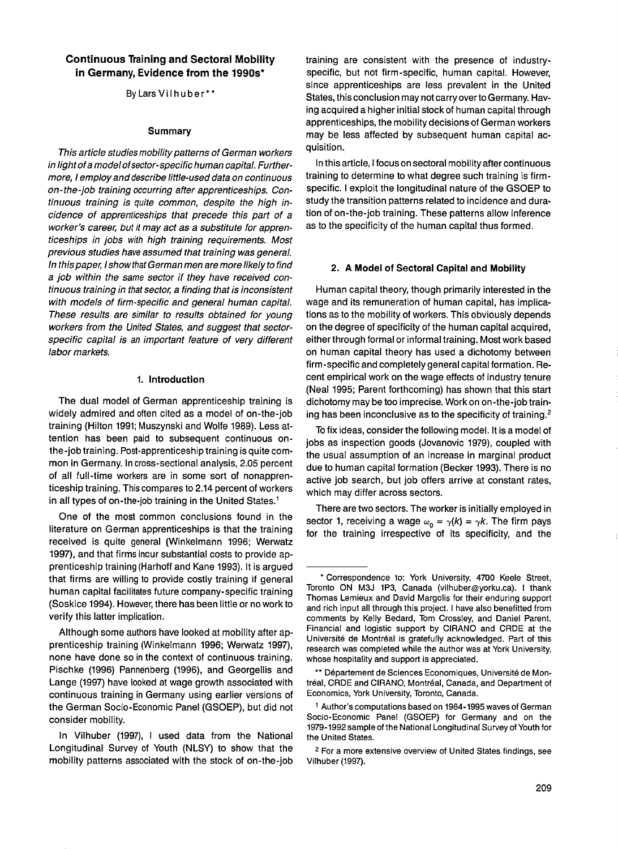## **Continuous Training and Sectoral Mobility in Germany, Evidence from the 1990s\***

By Lars Vilhuber\*\*

#### **Summary**

*This article studies mobility patterns of German workers in light of a model of sector-specific human capital. Furthermore, I employ and describe little-used data on continuous on-the-job training occurring after apprenticeships. Continuous training is quite common, despite the high incidence of apprenticeships that precede this part of a worker's career, but it may act as a substitute for apprenticeships in jobs with high training requirements. Most previous studies have assumed that training was general. In this paper, I show that German men are more likely to find a job within the same sector if they have received continuous training in that sector, a finding that is inconsistent with models of firm-specific and general human capital. These results are similar to results obtained for young workers from the United States, and suggest that sectorspecific capital is an important feature of very different labor markets.*

#### **1. Introduction**

The dual model of German apprenticeship training is widely admired and often cited as a model of on-the-job training (Hilton 1991; Muszynski and Wolfe 1989). Less attention has been paid to subsequent continuous onthe-job training. Post-apprenticeship training is quite common in Germany. In cross-sectional analysis, 2.05 percent of all full-time workers are in some sort of nonapprenticeship training. This compares to 2.14 percent of workers in all types of on-the-job training in the United States.<sup>1</sup>

One of the most common conclusions found in the literature on German apprenticeships is that the training received is quite general (Winkelmann 1996; Werwatz 1997), and that firms incur substantial costs to provide apprenticeship training (Harhoff and Kane 1993). It is argued that firms are willing to provide costly training if general human capital facilitates future company-specific training (Soskice 1994). However, there has been little or no work to verify this latter implication.

Although some authors have looked at mobility after apprenticeship training (Winkelmann 1996; Werwatz 1997), none have done so in the context of continuous training. Pischke (1996) Pannenberg (1996), and Georgellis and Lange (1997) have looked at wage growth associated with continuous training in Germany using earlier versions of the German Socio-Economic Panel (GSOEP), but did not consider mobility.

In Vilhuber (1997), I used data from the National Longitudinal Survey of Youth (NLSY) to show that the mobility patterns associated with the stock of on-the-job training are consistent with the presence of industryspecific, but not firm-specific, human capital. However, since apprenticeships are less prevalent in the United States, this conclusion may not carry over to Germany. Having acquired a higher initial stock of human capital through apprenticeships, the mobility decisions of German workers may be less affected by subsequent human capital acquisition.

In this article, I focus on sectoral mobility after continuous training to determine to what degree such training is firmspecific. I exploit the longitudinal nature of the GSOEP to study the transition patterns related to incidence and duration of on-the-job training. These patterns allow inference as to the specificity of the human capital thus formed.

#### **2. A Model of Sectoral Capital and Mobility**

Human capital theory, though primarily interested in the wage and its remuneration of human capital, has implications as to the mobility of workers. This obviously depends on the degree of specificity of the human capital acquired, either through formal or informal training. Most work based on human capital theory has used a dichotomy between firm-specific and completely general capital formation. Recent empirical work on the wage effects of industry tenure (Neal 1995; Parent forthcoming) has shown that this start dichotomy may be too imprecise. Work on on-the-job training has been inconclusive as to the specificity of training.2

To fix ideas, consider the following model. It is a model of jobs as inspection goods (Jovanovic 1979), coupled with the usual assumption of an increase in marginal product due to human capital formation (Becker 1993). There is no active job search, but job offers arrive at constant rates, which may differ across sectors.

There are two sectors. The worker is initially employed in sector 1, receiving a wage  $\omega_0 = \gamma(k) = \gamma k$ . The firm pays for the training irrespective of its specificity, and the

**<sup>\*</sup> Correspondence to: York University, 4700 Keele Street, Toronto ON M3J 1P3, Canada [\(vilhuber@yorku.ca](mailto:vilhuber@yorku.ca)). I thank Thomas Lemieux and David Margolis for their enduring support and rich input all through this project. I have also benefitted from comments by Kelly Bedard, Tom Crossley, and Daniel Parent. Financial and logistic support by CIRANO and CRDE at the Université de Montréal is gratefully acknowledged. Part of this research was completed while the author was at York University, whose hospitality and support is appreciated.**

**<sup>\*\*</sup> Département de Sciences Economiques, Université de Montréal, CRDE and CIRANO, Montréal, Canada, and Department of Economics, York University, Toronto, Canada.**

**<sup>1</sup> Author's computations based on 1984-1995 waves of German Socio-Economic Panel (GSOEP) for Germany and on the 1979-1992 sample of the National Longitudinal Survey of Youth for the United States.**

**<sup>2</sup> For a more extensive overview of United States findings, see Vilhuber (1997).**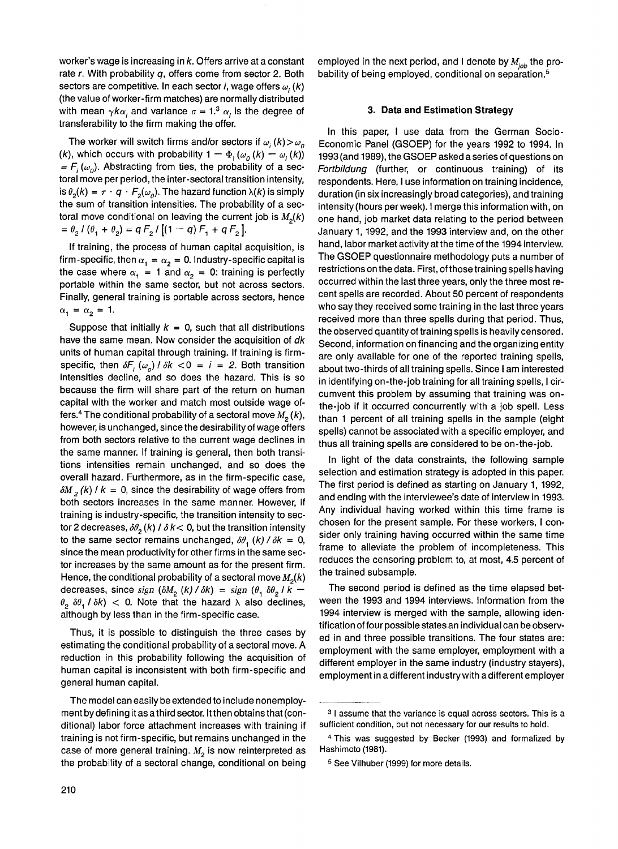worker's wage is increasing in *k.* Offers arrive at a constant rate *r.* With probability *q,* offers come from sector 2. Both sectors are competitive. In each sector *i*, wage offers  $\omega_i(k)$ (the value of worker-firm matches) are normally distributed with mean  $\gamma k \alpha_i$  and variance  $\sigma = 1.3 \alpha_i$  is the degree of transferability to the firm making the offer.

The worker will switch firms and/or sectors if  $\omega_i(k) > \omega_o$ (*k*), which occurs with probability  $1 - \Phi_i(\omega_0(k) - \omega_i(k))$  $= F_i(\omega_o)$ . Abstracting from ties, the probability of a sectoral move per period, the inter-sectoral transition intensity, is  $\theta_2(k) = \tau \cdot q \cdot F_2(\omega_2)$ . The hazard function  $\lambda(k)$  is simply the sum of transition intensities. The probability of a sectoral move conditional on leaving the current job is  $M_2(k)$  $= \theta_2 / (\theta_1 + \theta_2) = q F_2 / [(1 - q) F_1 + q F_2].$ 

If training, the process of human capital acquisition, is firm-specific, then  $\alpha_1 = \alpha_2 = 0$ . Industry-specific capital is the case where  $\alpha_1 = 1$  and  $\alpha_2 = 0$ : training is perfectly portable within the same sector, but not across sectors. Finally, general training is portable across sectors, hence  $\alpha_1 = \alpha_2 = 1.$ 

Suppose that initially  $k = 0$ , such that all distributions have the same mean. Now consider the acquisition of *dk* units of human capital through training. If training is firmspecific, then  $\delta F_i(\omega_o) / \delta k < 0 = i = 2$ . Both transition intensities decline, and so does the hazard. This is so because the firm will share part of the return on human capital with the worker and match most outside wage offers.<sup>4</sup> The conditional probability of a sectoral move  $M<sub>2</sub>(k)$ , however, is unchanged, since the desirability of wage offers from both sectors relative to the current wage declines in the same manner. If training is general, then both transitions intensities remain unchanged, and so does the overall hazard. Furthermore, as in the firm-specific case,  $\delta M$ <sub>2</sub> (k)  $l k = 0$ , since the desirability of wage offers from both sectors increases in the same manner. However, if training is industry-specific, the transition intensity to sector 2 decreases,  $\delta\theta_2(k)$  /  $\delta k$  < 0, but the transition intensity to the same sector remains unchanged,  $\delta\theta$ <sub>1</sub> (k) /  $\delta k = 0$ , since the mean productivity for other firms in the same sector increases by the same amount as for the present firm. Hence, the conditional probability of a sectoral move  $M_2(k)$ decreases, since *sign* ( $\delta M$ <sub>2</sub> ( $k$ ) /  $\delta k$ ) = sign ( $\theta$ ,  $\delta \theta$ <sub>2</sub> /  $\overline{k}$  –  $\theta_2$   $\delta\theta_1$  /  $\delta k$ ) < 0. Note that the hazard  $\lambda$  also declines, although by less than in the firm-specific case.

Thus, it is possible to distinguish the three cases by estimating the conditional probability of a sectoral move. A reduction in this probability following the acquisition of human capital is inconsistent with both firm-specific and general human capital.

The model can easily be extended to include nonemployment by defining it as a third sector. It then obtains that (conditional) labor force attachment increases with training if training is not firm-specific, but remains unchanged in the case of more general training.  $M<sub>2</sub>$  is now reinterpreted as the probability of a sectoral change, conditional on being employed in the next period, and I denote by  $M_{\text{lab}}$  the probability of being employed, conditional on separation.<sup>5</sup>

#### **3. Data and Estimation Strategy**

In this paper, I use data from the German Socio-Economic Panel (GSOEP) for the years 1992 to 1994. In 1993 (and 1989), the GSOEP asked a series of questions on *Fortbildung* (further, or continuous training) of its respondents. Here, I use information on training incidence, duration (in six increasingly broad categories), and training intensity (hours per week). I merge this information with, on one hand, job market data relating to the period between January 1, 1992, and the 1993 interview and, on the other hand, labor market activity at the time of the 1994 interview. The GSOEP questionnaire methodology puts a number of restrictions on the data. First, of those training spells having occurred within the last three years, only the three most recent spells are recorded. About 50 percent of respondents who say they received some training in the last three years received more than three spells during that period. Thus, the observed quantity of training spells is heavily censored. Second, information on financing and the organizing entity are only available for one of the reported training spells, about two-thirds of all training spells. Since I am interested in identifying on-the-job training for all training spells, I circumvent this problem by assuming that training was onthe-job if it occurred concurrently with a job spell. Less than 1 percent of all training spells in the sample (eight spells) cannot be associated with a specific employer, and thus all training spells are considered to be on-the-job.

In light of the data constraints, the following sample selection and estimation strategy is adopted in this paper. The first period is defined as starting on January 1, 1992, and ending with the interviewee's date of interview in 1993. Any individual having worked within this time frame is chosen for the present sample. For these workers, I consider only training having occurred within the same time frame to alleviate the problem of incompleteness. This reduces the censoring problem to, at most, 4.5 percent of the trained subsample.

The second period is defined as the time elapsed between the 1993 and 1994 interviews. Information from the 1994 interview is merged with the sample, allowing identification of four possible states an individual can be observed in and three possible transitions. The four states are: employment with the same employer, employment with a different employer in the same industry (industry stayers), employment in a different industry with a different employer

**<sup>3</sup> I assume that the variance is equal across sectors. This is a sufficient condition, but not necessary for our results to hold.**

**<sup>4</sup> This was suggested by Becker (1993) and formalized by Hashimoto (1981).**

**<sup>5</sup> See Vilhuber (1999) for more details.**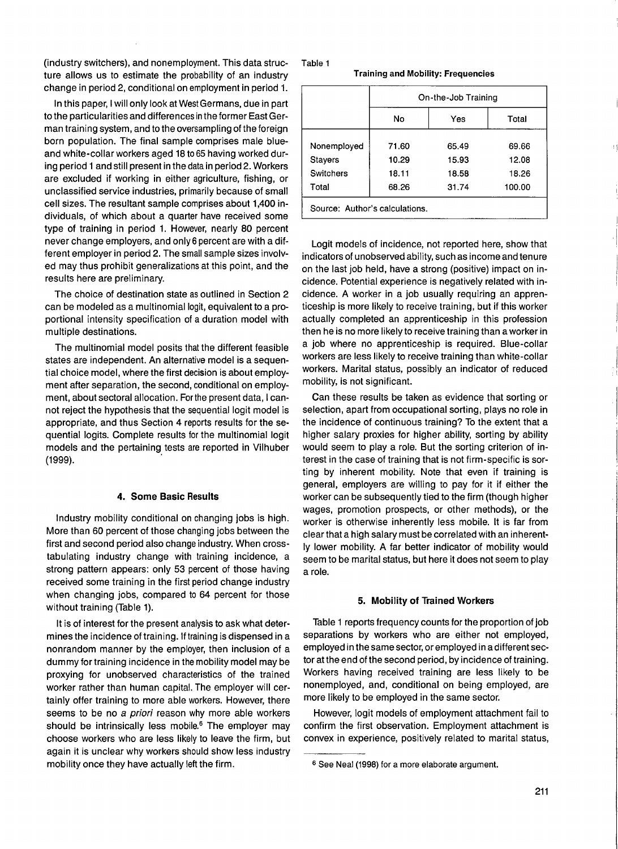(industry switchers), and nonemployment. This data structure allows us to estimate the probability of an industry change in period 2, conditional on employment in period 1.

In this paper, I will only look at West Germans, due in part to the particularities and differences in the former East German training system, and to the oversampling of the foreign born population. The final sample comprises male blueand white-collar workers aged 18 to 65 having worked during period 1 and still present in the data in period 2. Workers are excluded if working in either agriculture, fishing, or unclassified service industries, primarily because of small cell sizes. The resultant sample comprises about 1,400 individuals, of which about a quarter have received some type of training in period 1. However, nearly 80 percent never change employers, and only 6 percent are with a different employer in period 2. The small sample sizes involved may thus prohibit generalizations at this point, and the results here are preliminary.

The choice of destination state as outlined in Section 2 can be modeled as a multinomial logit, equivalent to a proportional intensity specification of a duration model with multiple destinations.

The multinomial model posits that the different feasible states are independent. An alternative model is a sequential choice model, where the first decision is about employment after separation, the second, conditional on employment, about sectoral allocation. For the present data, I cannot reject the hypothesis that the sequential logit model is appropriate, and thus Section 4 reports results for the sequential logits. Complete results for the multinomial logit models and the pertaining tests are reported in Vilhuber (1999).

#### **4. Some Basic Results**

Industry mobility conditional on changing jobs is high. More than 60 percent of those changing jobs between the first and second period also change industry. When crosstabulating industry change with training incidence, a strong pattern appears: only 53 percent of those having received some training in the first period change industry when changing jobs, compared to 64 percent for those without training (Table 1).

It is of interest for the present analysis to ask what determines the incidence of training. If training is dispensed in a nonrandom manner by the employer, then inclusion of a dummy for training incidence in the mobility model may be proxying for unobserved characteristics of the trained worker rather than human capital. The employer will certainly offer training to more able workers. However, there seems to be no *a priori* reason why more able workers should be intrinsically less mobile.<sup>6</sup> The employer may choose workers who are less likely to leave the firm, but again it is unclear why workers should show less industry mobility once they have actually left the firm.

Table 1

**Training and Mobility: Frequencies**

|                                | On-the-Job Training |       |        |  |  |  |  |
|--------------------------------|---------------------|-------|--------|--|--|--|--|
|                                | No<br>Yes           |       | Total  |  |  |  |  |
| Nonemployed                    | 71.60               | 65.49 | 69.66  |  |  |  |  |
| Stayers                        | 10.29               | 15.93 | 12.08  |  |  |  |  |
| Switchers                      | 18.11               | 18.58 | 18.26  |  |  |  |  |
| Total                          | 68.26               | 31.74 | 100.00 |  |  |  |  |
| Source: Author's calculations. |                     |       |        |  |  |  |  |

Logit models of incidence, not reported here, show that indicators of unobserved ability, such as income and tenure on the last job held, have a strong (positive) impact on incidence. Potential experience is negatively related with incidence. A worker in a job usually requiring an apprenticeship is more likely to receive training, but if this worker actually completed an apprenticeship in this profession then he is no more likely to receive training than a worker in a job where no apprenticeship is required. Blue-collar workers are less likely to receive training than white-collar workers. Marital status, possibly an indicator of reduced mobility, is not significant.

Can these results be taken as evidence that sorting or selection, apart from occupational sorting, plays no role in the incidence of continuous training? To the extent that a higher salary proxies for higher ability, sorting by ability would seem to play a role. But the sorting criterion of interest in the case of training that is not firm-specific is sorting by inherent mobility. Note that even if training is general, employers are willing to pay for it if either the worker can be subsequently tied to the firm (though higher wages, promotion prospects, or other methods), or the worker is otherwise inherently less mobile. It is far from clear that a high salary must be correlated with an inherently lower mobility. A far better indicator of mobility would seem to be marital status, but here it does not seem to play a role.

### **5. Mobility of Trained Workers**

Table 1 reports frequency counts for the proportion of job separations by workers who are either not employed, employed in the same sector, or employed in a different sector at the end of the second period, by incidence of training. Workers having received training are less likely to be nonemployed, and, conditional on being employed, are more likely to be employed in the same sector.

However, logit models of employment attachment fail to confirm the first observation. Employment attachment is convex in experience, positively related to marital status,

**<sup>6</sup> See Neal (1998) for a more elaborate argument.**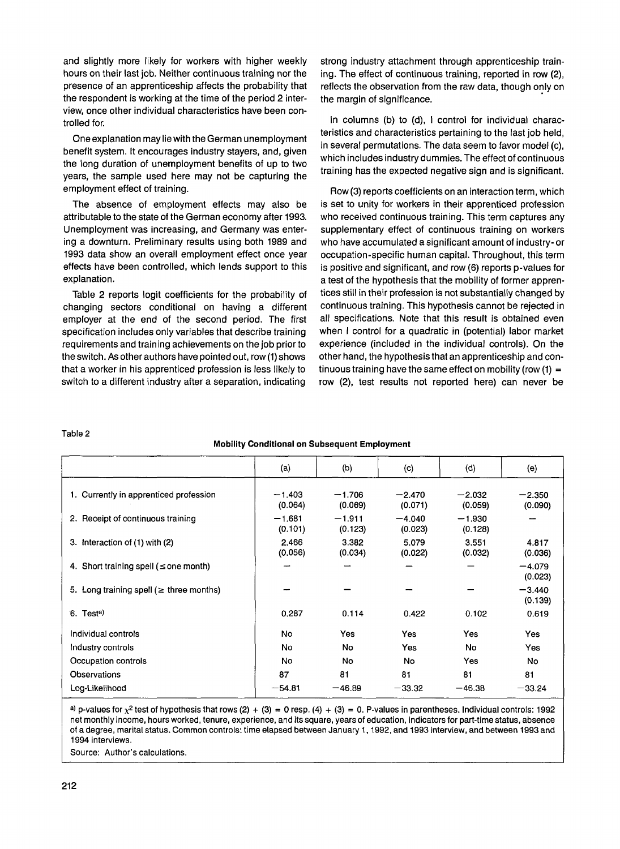and slightly more likely for workers with higher weekly hours on their last job. Neither continuous training nor the presence of an apprenticeship affects the probability that the respondent is working at the time of the period 2 interview, once other individual characteristics have been controlled for.

One explanation mayliewiththeGerman unemployment benefit system. It encourages industry stayers, and, given the long duration of unemployment benefits of up to two years, the sample used here may not be capturing the employment effect of training.

The absence of employment effects may also be attributable to the state of the German economy after 1993. Unemployment was increasing, and Germany was entering a downturn. Preliminary results using both 1989 and 1993 data show an overall employment effect once year effects have been controlled, which lends support to this explanation.

Table 2 reports logit coefficients for the probability of changing sectors conditional on having a different employer at the end of the second period. The first specification includes only variables that describe training requirements and training achievements on the job prior to the switch. As other authors have pointed out, row (1) shows that a worker in his apprenticed profession is less likely to switch to a different industry after a separation, indicating

strong industry attachment through apprenticeship training. The effect of continuous training, reported in row (2), reflects the observation from the raw data, though only on the margin of significance.

In columns (b) to (d), I control for individual characteristics and characteristics pertaining to the last job held, in several permutations. The data seem to favor model (c), which includes industry dummies. The effect of continuous training has the expected negative sign and is significant.

Row (3) reports coefficients on an interaction term, which is set to unity for workers in their apprenticed profession who received continuous training. This term captures any supplementary effect of continuous training on workers who have accumulated a significant amount of industry- or occupation-specific human capital. Throughout, this term is positive and significant, and row (6) reports p-values for a test of the hypothesis that the mobility of former apprentices still in their profession is not substantially changed by continuous training. This hypothesis cannot be rejected in all specifications. Note that this result is obtained even when I control for a quadratic in (potential) labor market experience (included in the individual controls). On the other hand, the hypothesis that an apprenticeship and continuous training have the same effect on mobility (row  $(1) =$ row (2), test results not reported here) can never be

**Table 2**

#### **Mobility Conditional on Subsequent Employment**

|                                               | (a)                 | (6)                 | $\left( c\right)$   | (d)                 | (e)                 |
|-----------------------------------------------|---------------------|---------------------|---------------------|---------------------|---------------------|
| 1. Currently in apprenticed profession        | $-1.403$<br>(0.064) | $-1.706$<br>(0.069) | $-2.470$<br>(0.071) | $-2.032$<br>(0.059) | $-2.350$<br>(0.090) |
| 2. Receipt of continuous training             | $-1.681$<br>(0.101) | $-1.911$<br>(0.123) | $-4.040$<br>(0.023) | $-1.930$<br>(0.128) |                     |
| 3. Interaction of (1) with (2)                | 2.466<br>(0.056)    | 3.382<br>(0.034)    | 5.079<br>(0.022)    | 3.551<br>(0.032)    | 4.817<br>(0.036)    |
| 4. Short training spell ( $\leq$ one month)   |                     |                     |                     |                     | $-4.079$<br>(0.023) |
| 5. Long training spell ( $\geq$ three months) |                     |                     |                     |                     | $-3.440$<br>(0.139) |
| 6. Test <sup>a)</sup>                         | 0.287               | 0.114               | 0.422               | 0.102               | 0.619               |
| Individual controls                           | No                  | Yes                 | Yes                 | Yes                 | Yes                 |
| Industry controls                             | No                  | <b>No</b>           | Yes                 | No                  | Yes                 |
| Occupation controls                           | No                  | No.                 | No.                 | <b>Yes</b>          | No                  |
| Observations                                  | 87                  | 81                  | 81                  | 81                  | 81                  |
| Log-Likelihood                                | $-54.81$            | $-46.89$            | $-33.32$            | $-46.38$            | $-33.24$            |

a) p-values for  $\chi^2$  test of hypothesis that rows (2) + (3) = 0 resp. (4) + (3) = 0. P-values in parentheses. Individual controls: 1992 **net monthly income, hours worked, tenure, experience, and its square, years of education, indicators for part-time status, absence of a degree, marital status. Common controls: time elapsed between January 1,1992, and 1993 interview, and between 1993 and 1994 interviews.**

**Source: Author's calculations.**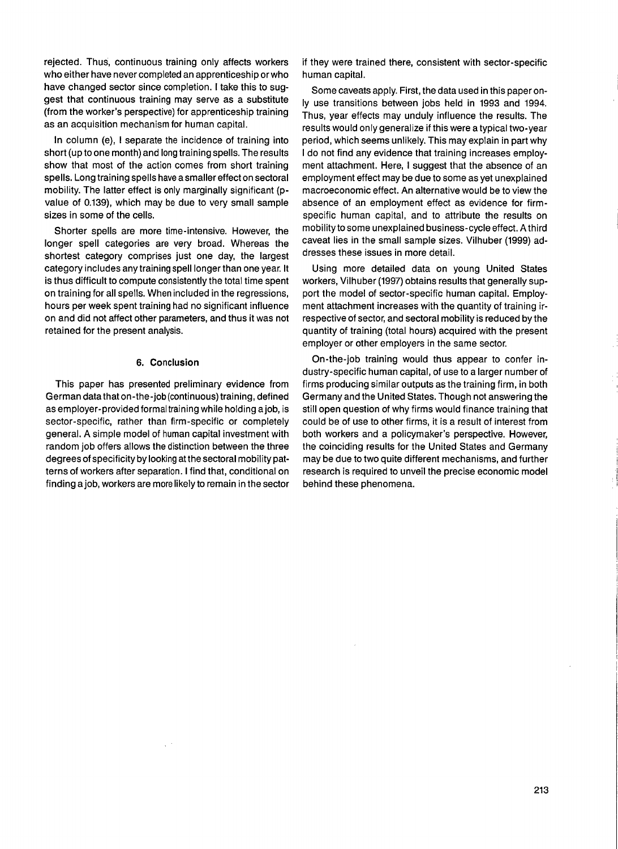rejected. Thus, continuous training only affects workers who either have never completed an apprenticeship or who have changed sector since completion. I take this to suggest that continuous training may serve as a substitute (from the worker's perspective) for apprenticeship training as an acquisition mechanism for human capital.

In column (e), I separate the incidence of training into short (up to one month) and long training spells. The results show that most of the action comes from short training spells. Long training spells have a smaller effect on sectoral mobility. The latter effect is only marginally significant (pvalue of 0.139), which may be due to very small sample sizes in some of the cells.

Shorter spells are more time-intensive. However, the longer spell categories are very broad. Whereas the shortest category comprises just one day, the largest category includes any training spell longer than one year. It is thus difficult to compute consistently the total time spent on training for all spells. When included in the regressions, hours per week spent training had no significant influence on and did not affect other parameters, and thus it was not retained for the present analysis.

#### **6. Conclusion**

This paper has presented preliminary evidence from German data that on-the-job (continuous) training, defined as employer-provided formal training while holding a job, is sector-specific, rather than firm-specific or completely general. A simple model of human capital investment with random job offers allows the distinction between the three degrees of specificity by looking at the sectoral mobility patterns of workers after separation. I find that, conditional on finding a job, workers are more likely to remain in the sector if they were trained there, consistent with sector-specific human capital.

Some caveats apply. First, the data used in this paper only use transitions between jobs held in 1993 and 1994. Thus, year effects may unduly influence the results. The results would only generalize if this were atypical two-year period, which seems unlikely. This may explain in part why I do not find any evidence that training increases employment attachment. Here, I suggest that the absence of an employment effect may be due to some as yet unexplained macroeconomic effect. An alternative would be to view the absence of an employment effect as evidence for firmspecific human capital, and to attribute the results on mobility to some unexplained business-cycle effect. Athird caveat lies in the small sample sizes. Vilhuber (1999) addresses these issues in more detail.

Using more detailed data on young United States workers, Vilhuber (1997) obtains results that generally support the model of sector-specific human capital. Employment attachment increases with the quantity of training irrespective of sector, and sectoral mobility is reduced by the quantity of training (total hours) acquired with the present employer or other employers in the same sector.

On-the-job training would thus appear to confer industry-specific human capital, of use to a larger number of firms producing similar outputs as the training firm, in both Germany and the United States. Though not answering the still open question of why firms would finance training that could be of use to other firms, it is a result of interest from both workers and a policymaker's perspective. However, the coinciding results for the United States and Germany may be due to two quite different mechanisms, and further research is required to unveil the precise economic model behind these phenomena.